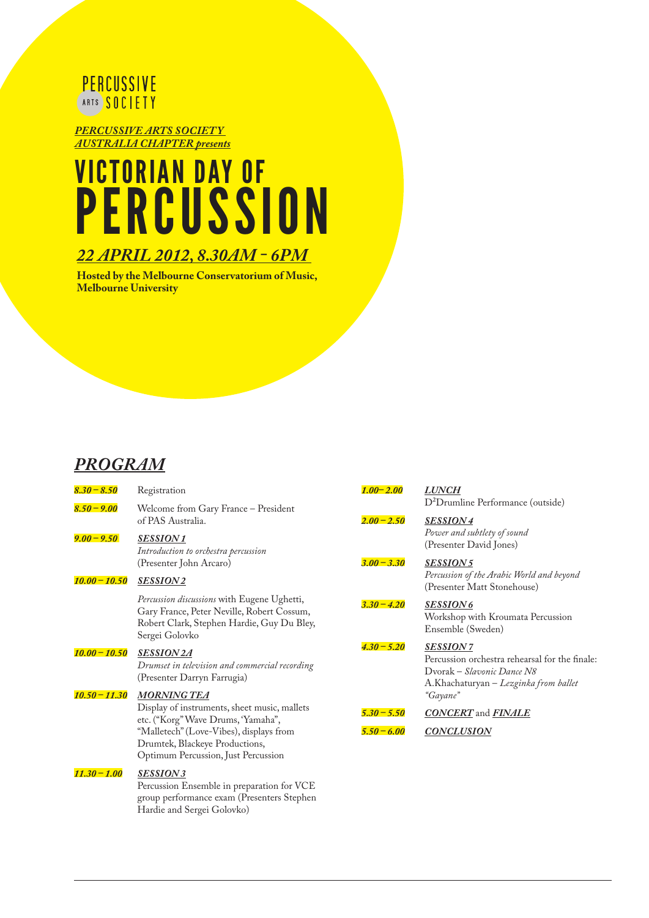

*PERCUSSIVE ARTS SOCIET Y AUSTRALIA CHAPTER presents*

# VICTORIAN DAY OF PERCUSSION

#### *22 APRIL 2012, 8.30AM - 6PM*

**Hosted by the Melbourne Conservatorium of Music, Melbourne University**

#### *PROGRAM*

| $8.30 - 8.50$   | Registration                                                                                                                                              | $1.00 - 2.00$ | <b>LUNCH</b>                                                                                                                             |
|-----------------|-----------------------------------------------------------------------------------------------------------------------------------------------------------|---------------|------------------------------------------------------------------------------------------------------------------------------------------|
| $8.50 - 9.00$   | Welcome from Gary France - President<br>of PAS Australia.                                                                                                 | $2.00 - 2.50$ | D <sup>2</sup> Drumline Performance (outside)<br><b>SESSION4</b>                                                                         |
| $9.00 - 9.50$   | <b>SESSION1</b><br>Introduction to orchestra percussion                                                                                                   |               | Power and subtlety of sound<br>(Presenter David Jones)                                                                                   |
| $10.00 - 10.50$ | (Presenter John Arcaro)<br><b>SESSION2</b>                                                                                                                | $3.00 - 3.30$ | <b>SESSION5</b><br>Percussion of the Arabic World and beyond                                                                             |
|                 | Percussion discussions with Eugene Ughetti,<br>Gary France, Peter Neville, Robert Cossum,<br>Robert Clark, Stephen Hardie, Guy Du Bley,<br>Sergei Golovko | $3.30 - 4.20$ | (Presenter Matt Stonehouse)<br><b>SESSION6</b><br>Workshop with Kroumata Percussion<br>Ensemble (Sweden)                                 |
| $10.00 - 10.50$ | <b>SESSION2A</b><br>Drumset in television and commercial recording<br>(Presenter Darryn Farrugia)                                                         | $4.30 - 5.20$ | <b>SESSION7</b><br>Percussion orchestra rehearsal for the finale:<br>Dvorak - Slavonic Dance N8<br>A.Khachaturyan - Lezginka from ballet |
| $10.50 - 11.30$ | <b>MORNING TEA</b><br>Display of instruments, sheet music, mallets<br>etc. ("Korg" Wave Drums, 'Yamaha",                                                  | $5,30 - 5,50$ | "Gayane"<br><b>CONCERT</b> and <b>FINALE</b>                                                                                             |
|                 | "Malletech" (Love-Vibes), displays from<br>Drumtek, Blackeye Productions,                                                                                 | $5,50 - 6,00$ | <b>CONCLUSION</b>                                                                                                                        |

#### *11.30 – 1.00 SESSION 3* Percussion Ensemble in preparation for VCE group performance exam (Presenters Stephen Hardie and Sergei Golovko)

Optimum Percussion, Just Percussion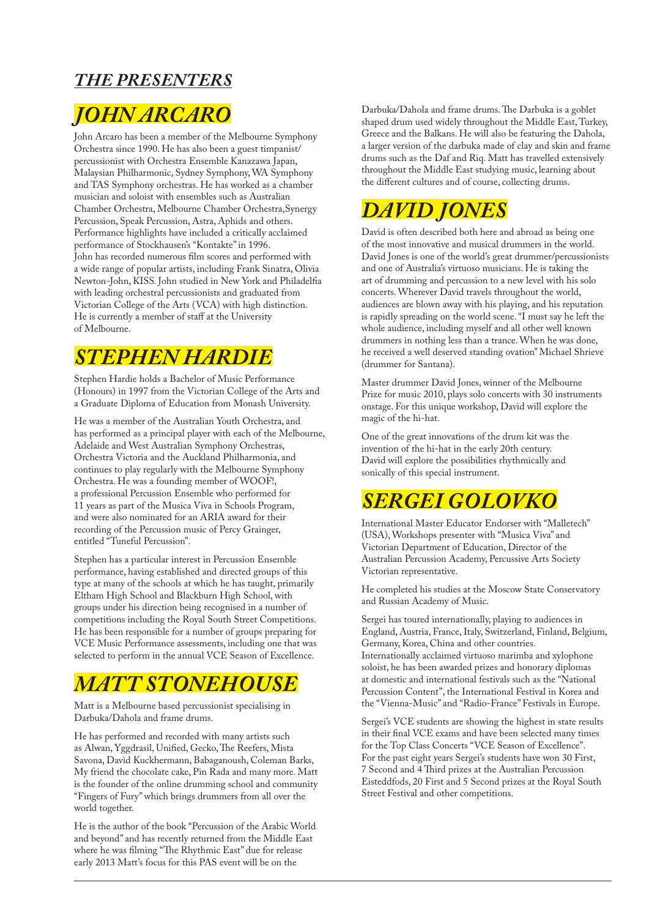### *THE PRESENTERS*

# *JOHN ARCARO*

John Arcaro has been a member of the Melbourne Symphony Orchestra since 1990. He has also been a guest timpanist/ percussionist with Orchestra Ensemble Kanazawa Japan, Malaysian Philharmonic, Sydney Symphony, WA Symphony and TAS Symphony orchestras. He has worked as a chamber musician and soloist with ensembles such as Australian Chamber Orchestra, Melbourne Chamber Orchestra,Synergy Percussion, Speak Percussion, Astra, Aphids and others. Performance highlights have included a critically acclaimed performance of Stockhausen's "Kontakte" in 1996. John has recorded numerous film scores and performed with a wide range of popular artists, including Frank Sinatra, Olivia Newton-John, KISS. John studied in New York and Philadelfia with leading orchestral percussionists and graduated from Victorian College of the Arts (VCA) with high distinction. He is currently a member of staff at the University of Melbourne.

### *STEPHEN HARDIE*

Stephen Hardie holds a Bachelor of Music Performance (Honours) in 1997 from the Victorian College of the Arts and a Graduate Diploma of Education from Monash University.

He was a member of the Australian Youth Orchestra, and has performed as a principal player with each of the Melbourne, Adelaide and West Australian Symphony Orchestras, Orchestra Victoria and the Auckland Philharmonia, and continues to play regularly with the Melbourne Symphony Orchestra. He was a founding member of WOOF!, a professional Percussion Ensemble who performed for 11 years as part of the Musica Viva in Schools Program, and were also nominated for an ARIA award for their recording of the Percussion music of Percy Grainger, entitled "Tuneful Percussion".

Stephen has a particular interest in Percussion Ensemble performance, having established and directed groups of this type at many of the schools at which he has taught, primarily Eltham High School and Blackburn High School, with groups under his direction being recognised in a number of competitions including the Royal South Street Competitions. He has been responsible for a number of groups preparing for VCE Music Performance assessments, including one that was selected to perform in the annual VCE Season of Excellence.

# *MATT STONEHOUSE*

Matt is a Melbourne based percussionist specialising in Darbuka/Dahola and frame drums.

He has performed and recorded with many artists such as Alwan, Yggdrasil, Unified, Gecko, The Reefers, Mista Savona, David Kuckhermann, Babaganoush, Coleman Barks, My friend the chocolate cake, Pin Rada and many more. Matt is the founder of the online drumming school and community "Fingers of Fury" which brings drummers from all over the world together.

He is the author of the book "Percussion of the Arabic World and beyond" and has recently returned from the Middle East where he was filming "The Rhythmic East" due for release early 2013 Matt's focus for this PAS event will be on the

Darbuka/Dahola and frame drums. The Darbuka is a goblet shaped drum used widely throughout the Middle East, Turkey, Greece and the Balkans. He will also be featuring the Dahola, a larger version of the darbuka made of clay and skin and frame drums such as the Daf and Riq. Matt has travelled extensively throughout the Middle East studying music, learning about the different cultures and of course, collecting drums.

# *DAVID JONES*

David is often described both here and abroad as being one of the most innovative and musical drummers in the world. David Jones is one of the world's great drummer/percussionists and one of Australia's virtuoso musicians. He is taking the art of drumming and percussion to a new level with his solo concerts. Wherever David travels throughout the world, audiences are blown away with his playing, and his reputation is rapidly spreading on the world scene. "I must say he left the whole audience, including myself and all other well known drummers in nothing less than a trance. When he was done, he received a well deserved standing ovation" Michael Shrieve (drummer for Santana).

Master drummer David Jones, winner of the Melbourne Prize for music 2010, plays solo concerts with 30 instruments onstage. For this unique workshop, David will explore the magic of the hi-hat.

One of the great innovations of the drum kit was the invention of the hi-hat in the early 20th century. David will explore the possibilities rhythmically and sonically of this special instrument.

# *SERGEI GOLOVKO*

International Master Educator Endorser with "Malletech" (USA), Workshops presenter with "Musica Viva" and Victorian Department of Education, Director of the Australian Percussion Academy, Percussive Arts Society Victorian representative.

He completed his studies at the Moscow State Conservatory and Russian Academy of Music.

Sergei has toured internationally, playing to audiences in England, Austria, France, Italy, Switzerland, Finland, Belgium, Germany, Korea, China and other countries. Internationally acclaimed virtuoso marimba and xylophone soloist, he has been awarded prizes and honorary diplomas at domestic and international festivals such as the "National Percussion Content", the International Festival in Korea and the "Vienna-Music" and "Radio-France" Festivals in Europe.

Sergei's VCE students are showing the highest in state results in their final VCE exams and have been selected many times for the Top Class Concerts "VCE Season of Excellence". For the past eight years Sergei's students have won 30 First, 7 Second and 4 Third prizes at the Australian Percussion Eisteddfods, 20 First and 5 Second prizes at the Royal South Street Festival and other competitions.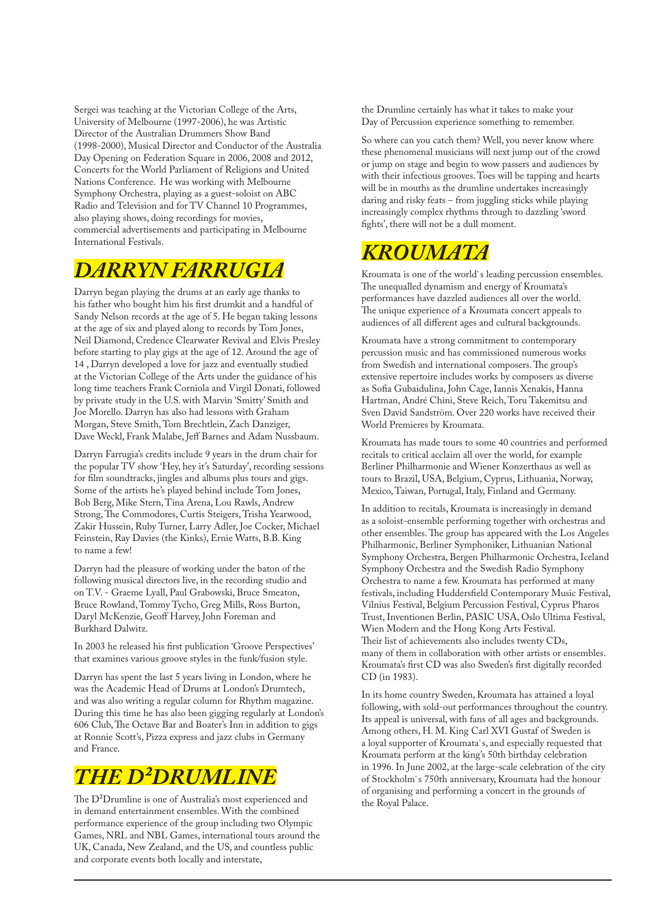Sergei was teaching at the Victorian College of the Arts, University of Melbourne (1997-2006), he was Artistic Director of the Australian Drummers Show Band (1998-2000), Musical Director and Conductor of the Australia Day Opening on Federation Square in 2006, 2008 and 2012, Concerts for the World Parliament of Religions and United Nations Conference. He was working with Melbourne Symphony Orchestra, playing as a guest-soloist on ABC Radio and Television and for TV Channel 10 Programmes, also playing shows, doing recordings for movies, commercial advertisements and participating in Melbourne International Festivals.

### *DARRYN FARRUGIA*

Darryn began playing the drums at an early age thanks to his father who bought him his first drumkit and a handful of Sandy Nelson records at the age of 5. He began taking lessons at the age of six and played along to records by Tom Jones, Neil Diamond, Credence Clearwater Revival and Elvis Presley before starting to play gigs at the age of 12. Around the age of 14 , Darryn developed a love for jazz and eventually studied at the Victorian College of the Arts under the guidance of his long time teachers Frank Corniola and Virgil Donati, followed by private study in the U.S. with Marvin 'Smitty' Smith and Joe Morello. Darryn has also had lessons with Graham Morgan, Steve Smith, Tom Brechtlein, Zach Danziger, Dave Weckl, Frank Malabe, Jeff Barnes and Adam Nussbaum.

Darryn Farrugia's credits include 9 years in the drum chair for the popular TV show 'Hey, hey it's Saturday', recording sessions for film soundtracks, jingles and albums plus tours and gigs. Some of the artists he's played behind include Tom Jones, Bob Berg, Mike Stern, Tina Arena, Lou Rawls, Andrew Strong, The Commodores, Curtis Steigers, Trisha Yearwood, Zakir Hussein, Ruby Turner, Larry Adler, Joe Cocker, Michael Feinstein, Ray Davies (the Kinks), Ernie Watts, B.B. King to name a few!

Darryn had the pleasure of working under the baton of the following musical directors live, in the recording studio and on T.V. - Graeme Lyall, Paul Grabowski, Bruce Smeaton, Bruce Rowland, Tommy Tycho, Greg Mills, Ross Burton, Daryl McKenzie, Geoff Harvey, John Foreman and Burkhard Dalwitz.

In 2003 he released his first publication 'Groove Perspectives' that examines various groove styles in the funk/fusion style.

Darryn has spent the last 5 years living in London, where he was the Academic Head of Drums at London's Drumtech, and was also writing a regular column for Rhythm magazine. During this time he has also been gigging regularly at London's 606 Club, The Octave Bar and Boater's Inn in addition to gigs at Ronnie Scott's, Pizza express and jazz clubs in Germany and France.

# *THE D²DRUMLINE*

The D²Drumline is one of Australia's most experienced and in demand entertainment ensembles. With the combined performance experience of the group including two Olympic Games, NRL and NBL Games, international tours around the UK, Canada, New Zealand, and the US, and countless public and corporate events both locally and interstate,

the Drumline certainly has what it takes to make your Day of Percussion experience something to remember.

So where can you catch them? Well, you never know where these phenomenal musicians will next jump out of the crowd or jump on stage and begin to wow passers and audiences by with their infectious grooves. Toes will be tapping and hearts will be in mouths as the drumline undertakes increasingly daring and risky feats – from juggling sticks while playing increasingly complex rhythms through to dazzling 'sword fights', there will not be a dull moment.

# *KROUMATA*

Kroumata is one of the world`s leading percussion ensembles. The unequalled dynamism and energy of Kroumata's performances have dazzled audiences all over the world. The unique experience of a Kroumata concert appeals to audiences of all different ages and cultural backgrounds.

Kroumata have a strong commitment to contemporary percussion music and has commissioned numerous works from Swedish and international composers. The group's extensive repertoire includes works by composers as diverse as Sofia Gubaidulina, John Cage, Iannis Xenakis, Hanna Hartman, André Chini, Steve Reich, Toru Takemitsu and Sven David Sandström. Over 220 works have received their World Premieres by Kroumata.

Kroumata has made tours to some 40 countries and performed recitals to critical acclaim all over the world, for example Berliner Philharmonie and Wiener Konzerthaus as well as tours to Brazil, USA, Belgium, Cyprus, Lithuania, Norway, Mexico, Taiwan, Portugal, Italy, Finland and Germany.

In addition to recitals, Kroumata is increasingly in demand as a soloist-ensemble performing together with orchestras and other ensembles. The group has appeared with the Los Angeles Philharmonic, Berliner Symphoniker, Lithuanian National Symphony Orchestra, Bergen Philharmonic Orchestra, Iceland Symphony Orchestra and the Swedish Radio Symphony Orchestra to name a few. Kroumata has performed at many festivals, including Huddersfield Contemporary Music Festival, Vilnius Festival, Belgium Percussion Festival, Cyprus Pharos Trust, Inventionen Berlin, PASIC USA, Oslo Ultima Festival, Wien Modern and the Hong Kong Arts Festival. Their list of achievements also includes twenty CDs, many of them in collaboration with other artists or ensembles. Kroumata's first CD was also Sweden's first digitally recorded CD (in 1983).

In its home country Sweden, Kroumata has attained a loyal following, with sold-out performances throughout the country. Its appeal is universal, with fans of all ages and backgrounds. Among others, H. M. King Carl XVI Gustaf of Sweden is a loyal supporter of Kroumata`s, and especially requested that Kroumata perform at the king's 50th birthday celebration in 1996. In June 2002, at the large-scale celebration of the city of Stockholm`s 750th anniversary, Kroumata had the honour of organising and performing a concert in the grounds of the Royal Palace.